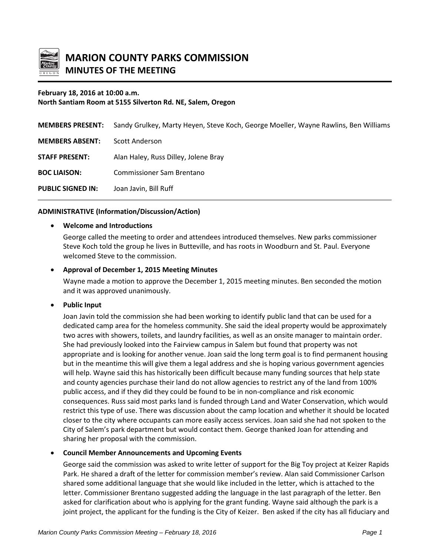

# **February 18, 2016 at 10:00 a.m. North Santiam Room at 5155 Silverton Rd. NE, Salem, Oregon**

| <b>MEMBERS PRESENT:</b>  | Sandy Grulkey, Marty Heyen, Steve Koch, George Moeller, Wayne Rawlins, Ben Williams |
|--------------------------|-------------------------------------------------------------------------------------|
| <b>MEMBERS ABSENT:</b>   | Scott Anderson                                                                      |
| <b>STAFF PRESENT:</b>    | Alan Haley, Russ Dilley, Jolene Bray                                                |
| <b>BOC LIAISON:</b>      | <b>Commissioner Sam Brentano</b>                                                    |
| <b>PUBLIC SIGNED IN:</b> | Joan Javin, Bill Ruff                                                               |

# **ADMINISTRATIVE (Information/Discussion/Action)**

# • **Welcome and Introductions**

George called the meeting to order and attendees introduced themselves. New parks commissioner Steve Koch told the group he lives in Butteville, and has roots in Woodburn and St. Paul. Everyone welcomed Steve to the commission.

# • **Approval of December 1, 2015 Meeting Minutes**

Wayne made a motion to approve the December 1, 2015 meeting minutes. Ben seconded the motion and it was approved unanimously.

### • **Public Input**

Joan Javin told the commission she had been working to identify public land that can be used for a dedicated camp area for the homeless community. She said the ideal property would be approximately two acres with showers, toilets, and laundry facilities, as well as an onsite manager to maintain order. She had previously looked into the Fairview campus in Salem but found that property was not appropriate and is looking for another venue. Joan said the long term goal is to find permanent housing but in the meantime this will give them a legal address and she is hoping various government agencies will help. Wayne said this has historically been difficult because many funding sources that help state and county agencies purchase their land do not allow agencies to restrict any of the land from 100% public access, and if they did they could be found to be in non-compliance and risk economic consequences. Russ said most parks land is funded through Land and Water Conservation, which would restrict this type of use. There was discussion about the camp location and whether it should be located closer to the city where occupants can more easily access services. Joan said she had not spoken to the City of Salem's park department but would contact them. George thanked Joan for attending and sharing her proposal with the commission.

### • **Council Member Announcements and Upcoming Events**

George said the commission was asked to write letter of support for the Big Toy project at Keizer Rapids Park. He shared a draft of the letter for commission member's review. Alan said Commissioner Carlson shared some additional language that she would like included in the letter, which is attached to the letter. Commissioner Brentano suggested adding the language in the last paragraph of the letter. Ben asked for clarification about who is applying for the grant funding. Wayne said although the park is a joint project, the applicant for the funding is the City of Keizer. Ben asked if the city has all fiduciary and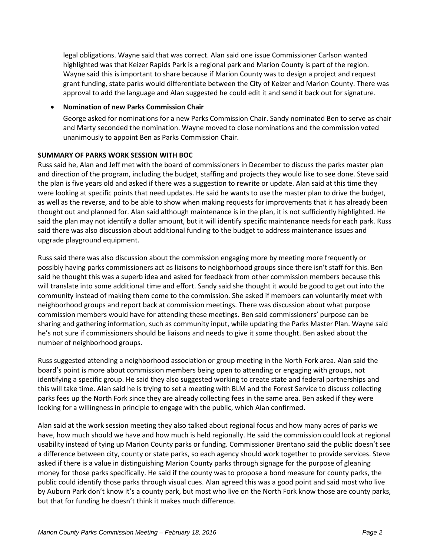legal obligations. Wayne said that was correct. Alan said one issue Commissioner Carlson wanted highlighted was that Keizer Rapids Park is a regional park and Marion County is part of the region. Wayne said this is important to share because if Marion County was to design a project and request grant funding, state parks would differentiate between the City of Keizer and Marion County. There was approval to add the language and Alan suggested he could edit it and send it back out for signature.

### • **Nomination of new Parks Commission Chair**

George asked for nominations for a new Parks Commission Chair. Sandy nominated Ben to serve as chair and Marty seconded the nomination. Wayne moved to close nominations and the commission voted unanimously to appoint Ben as Parks Commission Chair.

### **SUMMARY OF PARKS WORK SESSION WITH BOC**

Russ said he, Alan and Jeff met with the board of commissioners in December to discuss the parks master plan and direction of the program, including the budget, staffing and projects they would like to see done. Steve said the plan is five years old and asked if there was a suggestion to rewrite or update. Alan said at this time they were looking at specific points that need updates. He said he wants to use the master plan to drive the budget, as well as the reverse, and to be able to show when making requests for improvements that it has already been thought out and planned for. Alan said although maintenance is in the plan, it is not sufficiently highlighted. He said the plan may not identify a dollar amount, but it will identify specific maintenance needs for each park. Russ said there was also discussion about additional funding to the budget to address maintenance issues and upgrade playground equipment.

Russ said there was also discussion about the commission engaging more by meeting more frequently or possibly having parks commissioners act as liaisons to neighborhood groups since there isn't staff for this. Ben said he thought this was a superb idea and asked for feedback from other commission members because this will translate into some additional time and effort. Sandy said she thought it would be good to get out into the community instead of making them come to the commission. She asked if members can voluntarily meet with neighborhood groups and report back at commission meetings. There was discussion about what purpose commission members would have for attending these meetings. Ben said commissioners' purpose can be sharing and gathering information, such as community input, while updating the Parks Master Plan. Wayne said he's not sure if commissioners should be liaisons and needs to give it some thought. Ben asked about the number of neighborhood groups.

Russ suggested attending a neighborhood association or group meeting in the North Fork area. Alan said the board's point is more about commission members being open to attending or engaging with groups, not identifying a specific group. He said they also suggested working to create state and federal partnerships and this will take time. Alan said he is trying to set a meeting with BLM and the Forest Service to discuss collecting parks fees up the North Fork since they are already collecting fees in the same area. Ben asked if they were looking for a willingness in principle to engage with the public, which Alan confirmed.

Alan said at the work session meeting they also talked about regional focus and how many acres of parks we have, how much should we have and how much is held regionally. He said the commission could look at regional usability instead of tying up Marion County parks or funding. Commissioner Brentano said the public doesn't see a difference between city, county or state parks, so each agency should work together to provide services. Steve asked if there is a value in distinguishing Marion County parks through signage for the purpose of gleaning money for those parks specifically. He said if the county was to propose a bond measure for county parks, the public could identify those parks through visual cues. Alan agreed this was a good point and said most who live by Auburn Park don't know it's a county park, but most who live on the North Fork know those are county parks, but that for funding he doesn't think it makes much difference.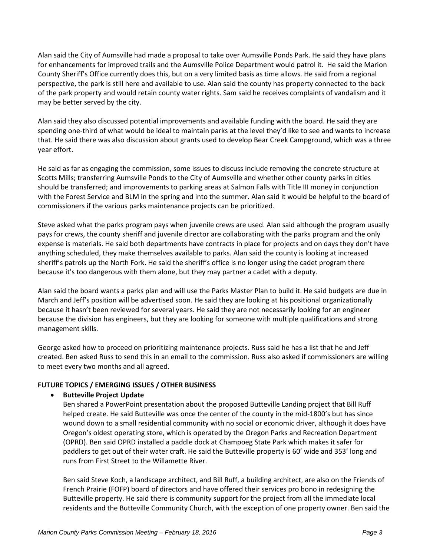Alan said the City of Aumsville had made a proposal to take over Aumsville Ponds Park. He said they have plans for enhancements for improved trails and the Aumsville Police Department would patrol it. He said the Marion County Sheriff's Office currently does this, but on a very limited basis as time allows. He said from a regional perspective, the park is still here and available to use. Alan said the county has property connected to the back of the park property and would retain county water rights. Sam said he receives complaints of vandalism and it may be better served by the city.

Alan said they also discussed potential improvements and available funding with the board. He said they are spending one-third of what would be ideal to maintain parks at the level they'd like to see and wants to increase that. He said there was also discussion about grants used to develop Bear Creek Campground, which was a three year effort.

He said as far as engaging the commission, some issues to discuss include removing the concrete structure at Scotts Mills; transferring Aumsville Ponds to the City of Aumsville and whether other county parks in cities should be transferred; and improvements to parking areas at Salmon Falls with Title III money in conjunction with the Forest Service and BLM in the spring and into the summer. Alan said it would be helpful to the board of commissioners if the various parks maintenance projects can be prioritized.

Steve asked what the parks program pays when juvenile crews are used. Alan said although the program usually pays for crews, the county sheriff and juvenile director are collaborating with the parks program and the only expense is materials. He said both departments have contracts in place for projects and on days they don't have anything scheduled, they make themselves available to parks. Alan said the county is looking at increased sheriff's patrols up the North Fork. He said the sheriff's office is no longer using the cadet program there because it's too dangerous with them alone, but they may partner a cadet with a deputy.

Alan said the board wants a parks plan and will use the Parks Master Plan to build it. He said budgets are due in March and Jeff's position will be advertised soon. He said they are looking at his positional organizationally because it hasn't been reviewed for several years. He said they are not necessarily looking for an engineer because the division has engineers, but they are looking for someone with multiple qualifications and strong management skills.

George asked how to proceed on prioritizing maintenance projects. Russ said he has a list that he and Jeff created. Ben asked Russ to send this in an email to the commission. Russ also asked if commissioners are willing to meet every two months and all agreed.

# **FUTURE TOPICS / EMERGING ISSUES / OTHER BUSINESS**

# • **Butteville Project Update**

Ben shared a PowerPoint presentation about the proposed Butteville Landing project that Bill Ruff helped create. He said Butteville was once the center of the county in the mid-1800's but has since wound down to a small residential community with no social or economic driver, although it does have Oregon's oldest operating store, which is operated by the Oregon Parks and Recreation Department (OPRD). Ben said OPRD installed a paddle dock at Champoeg State Park which makes it safer for paddlers to get out of their water craft. He said the Butteville property is 60' wide and 353' long and runs from First Street to the Willamette River.

Ben said Steve Koch, a landscape architect, and Bill Ruff, a building architect, are also on the Friends of French Prairie (FOFP) board of directors and have offered their services pro bono in redesigning the Butteville property. He said there is community support for the project from all the immediate local residents and the Butteville Community Church, with the exception of one property owner. Ben said the